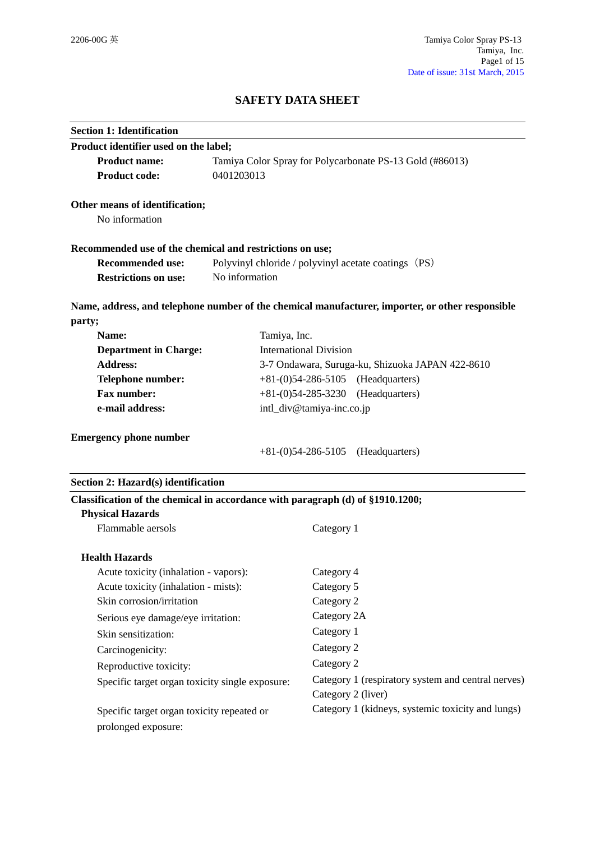## **SAFETY DATA SHEET**

| Product identifier used on the label;                                          |                                                                        |                                                                                                         |
|--------------------------------------------------------------------------------|------------------------------------------------------------------------|---------------------------------------------------------------------------------------------------------|
| <b>Product name:</b>                                                           | Tamiya Color Spray for Polycarbonate PS-13 Gold (#86013)<br>0401203013 |                                                                                                         |
| <b>Product code:</b>                                                           |                                                                        |                                                                                                         |
| Other means of identification;                                                 |                                                                        |                                                                                                         |
| No information                                                                 |                                                                        |                                                                                                         |
| Recommended use of the chemical and restrictions on use;                       |                                                                        |                                                                                                         |
| <b>Recommended use:</b>                                                        |                                                                        | Polyvinyl chloride / polyvinyl acetate coatings (PS)                                                    |
| <b>Restrictions on use:</b>                                                    | No information                                                         |                                                                                                         |
|                                                                                |                                                                        | Name, address, and telephone number of the chemical manufacturer, importer, or other responsible        |
| party;                                                                         |                                                                        |                                                                                                         |
| Name:<br>Tamiya, Inc.                                                          |                                                                        |                                                                                                         |
| <b>Department in Charge:</b>                                                   | <b>International Division</b>                                          |                                                                                                         |
| <b>Address:</b>                                                                | 3-7 Ondawara, Suruga-ku, Shizuoka JAPAN 422-8610                       |                                                                                                         |
| Telephone number:                                                              | $+81-(0)54-286-5105$ (Headquarters)<br>$+81-(0)54-285-3230$            |                                                                                                         |
| <b>Fax number:</b><br>e-mail address:                                          |                                                                        | (Headquarters)                                                                                          |
|                                                                                |                                                                        | intl_div@tamiya-inc.co.jp                                                                               |
| <b>Emergency phone number</b>                                                  |                                                                        |                                                                                                         |
|                                                                                |                                                                        | $+81-(0)54-286-5105$<br>(Headquarters)                                                                  |
| Section 2: Hazard(s) identification                                            |                                                                        |                                                                                                         |
| Classification of the chemical in accordance with paragraph (d) of §1910.1200; |                                                                        |                                                                                                         |
|                                                                                |                                                                        |                                                                                                         |
| <b>Physical Hazards</b>                                                        |                                                                        |                                                                                                         |
| Flammable aersols                                                              |                                                                        | Category 1                                                                                              |
| <b>Health Hazards</b>                                                          |                                                                        |                                                                                                         |
| Acute toxicity (inhalation - vapors):                                          |                                                                        | Category 4                                                                                              |
| Acute toxicity (inhalation - mists):                                           |                                                                        | Category 5                                                                                              |
| Skin corrosion/irritation                                                      |                                                                        | Category 2                                                                                              |
| Serious eye damage/eye irritation:                                             |                                                                        | Category 2A                                                                                             |
| Skin sensitization:                                                            |                                                                        | Category 1                                                                                              |
| Carcinogenicity:                                                               |                                                                        | Category 2                                                                                              |
|                                                                                |                                                                        | Category 2                                                                                              |
| Reproductive toxicity:<br>Specific target organ toxicity single exposure:      |                                                                        | Category 2 (liver)                                                                                      |
| Specific target organ toxicity repeated or                                     |                                                                        | Category 1 (respiratory system and central nerves)<br>Category 1 (kidneys, systemic toxicity and lungs) |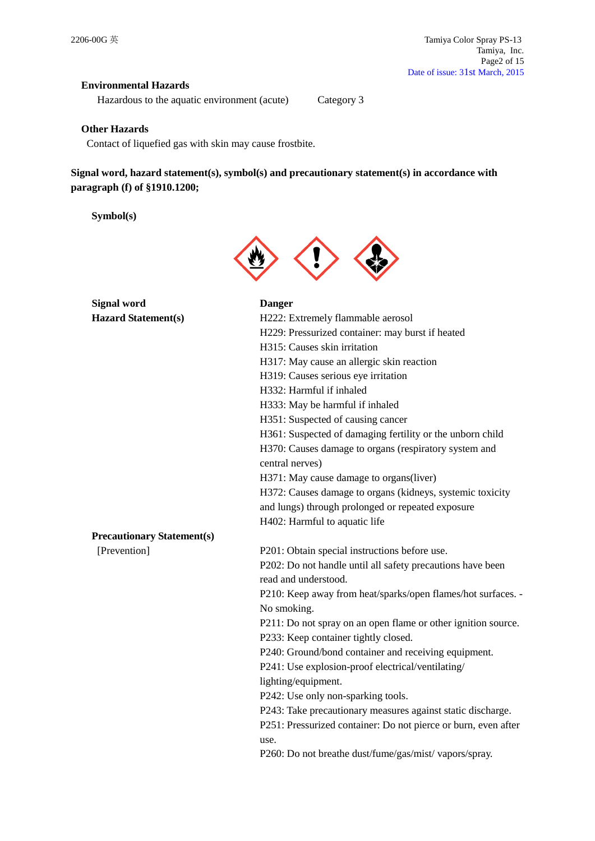## **Environmental Hazards**

Hazardous to the aquatic environment (acute) Category 3

#### **Other Hazards**

Contact of liquefied gas with skin may cause frostbite.

**Signal word, hazard statement(s), symbol(s) and precautionary statement(s) in accordance with paragraph (f) of §1910.1200;**

**Symbol(s)**



| <b>Signal word</b>                | <b>Danger</b>                                                  |
|-----------------------------------|----------------------------------------------------------------|
| <b>Hazard Statement(s)</b>        | H222: Extremely flammable aerosol                              |
|                                   | H229: Pressurized container: may burst if heated               |
|                                   | H315: Causes skin irritation                                   |
|                                   | H317: May cause an allergic skin reaction                      |
|                                   | H319: Causes serious eye irritation                            |
|                                   | H332: Harmful if inhaled                                       |
|                                   | H333: May be harmful if inhaled                                |
|                                   | H351: Suspected of causing cancer                              |
|                                   | H361: Suspected of damaging fertility or the unborn child      |
|                                   | H370: Causes damage to organs (respiratory system and          |
|                                   | central nerves)                                                |
|                                   | H371: May cause damage to organs(liver)                        |
|                                   | H372: Causes damage to organs (kidneys, systemic toxicity      |
|                                   | and lungs) through prolonged or repeated exposure              |
|                                   | H402: Harmful to aquatic life                                  |
| <b>Precautionary Statement(s)</b> |                                                                |
| [Prevention]                      | P201: Obtain special instructions before use.                  |
|                                   | P202: Do not handle until all safety precautions have been     |
|                                   | read and understood.                                           |
|                                   | P210: Keep away from heat/sparks/open flames/hot surfaces. -   |
|                                   | No smoking.                                                    |
|                                   | P211: Do not spray on an open flame or other ignition source.  |
|                                   | P233: Keep container tightly closed.                           |
|                                   | P240: Ground/bond container and receiving equipment.           |
|                                   | P241: Use explosion-proof electrical/ventilating/              |
|                                   | lighting/equipment.                                            |
|                                   | P242: Use only non-sparking tools.                             |
|                                   | P243: Take precautionary measures against static discharge.    |
|                                   | P251: Pressurized container: Do not pierce or burn, even after |
|                                   | use.                                                           |
|                                   | P260: Do not breathe dust/fume/gas/mist/vapors/spray.          |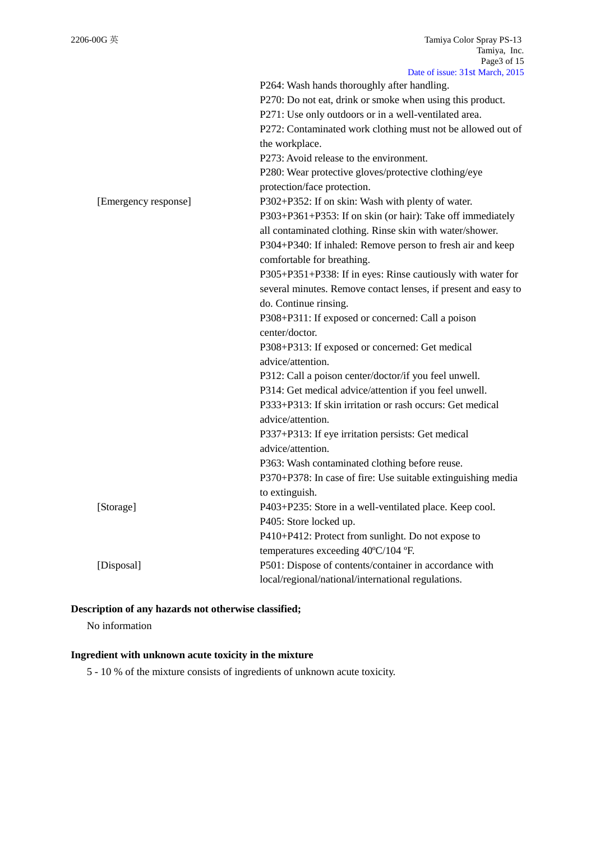|                      | Data 01 18800. 3180 191a1011, 2013                             |
|----------------------|----------------------------------------------------------------|
|                      | P264: Wash hands thoroughly after handling.                    |
|                      | P270: Do not eat, drink or smoke when using this product.      |
|                      | P271: Use only outdoors or in a well-ventilated area.          |
|                      | P272: Contaminated work clothing must not be allowed out of    |
|                      | the workplace.                                                 |
|                      | P273: Avoid release to the environment.                        |
|                      | P280: Wear protective gloves/protective clothing/eye           |
|                      | protection/face protection.                                    |
| [Emergency response] | P302+P352: If on skin: Wash with plenty of water.              |
|                      | P303+P361+P353: If on skin (or hair): Take off immediately     |
|                      | all contaminated clothing. Rinse skin with water/shower.       |
|                      | P304+P340: If inhaled: Remove person to fresh air and keep     |
|                      | comfortable for breathing.                                     |
|                      | P305+P351+P338: If in eyes: Rinse cautiously with water for    |
|                      | several minutes. Remove contact lenses, if present and easy to |
|                      | do. Continue rinsing.                                          |
|                      | P308+P311: If exposed or concerned: Call a poison              |
|                      | center/doctor.                                                 |
|                      | P308+P313: If exposed or concerned: Get medical                |
|                      | advice/attention.                                              |
|                      | P312: Call a poison center/doctor/if you feel unwell.          |
|                      | P314: Get medical advice/attention if you feel unwell.         |
|                      | P333+P313: If skin irritation or rash occurs: Get medical      |
|                      | advice/attention.                                              |
|                      | P337+P313: If eye irritation persists: Get medical             |
|                      | advice/attention.                                              |
|                      | P363: Wash contaminated clothing before reuse.                 |
|                      | P370+P378: In case of fire: Use suitable extinguishing media   |
|                      | to extinguish.                                                 |
| [Storage]            | P403+P235: Store in a well-ventilated place. Keep cool.        |
|                      | P405: Store locked up.                                         |
|                      | P410+P412: Protect from sunlight. Do not expose to             |
|                      | temperatures exceeding 40°C/104 °F.                            |
| [Disposal]           | P501: Dispose of contents/container in accordance with         |
|                      | local/regional/national/international regulations.             |
|                      |                                                                |

## **Description of any hazards not otherwise classified;**

No information

# **Ingredient with unknown acute toxicity in the mixture**

5 - 10 % of the mixture consists of ingredients of unknown acute toxicity.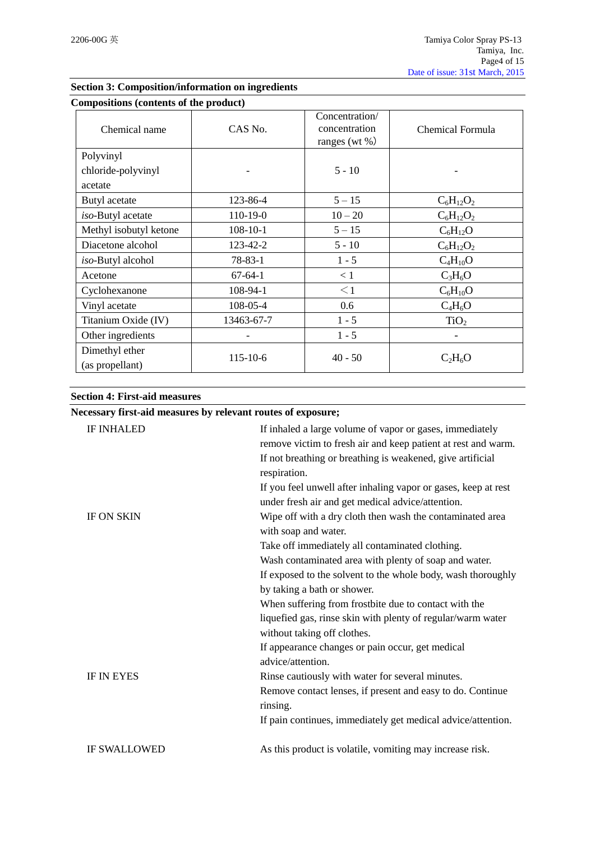| Compositions (contents of the product) |                |                                                      |                  |
|----------------------------------------|----------------|------------------------------------------------------|------------------|
| Chemical name                          | CAS No.        | Concentration/<br>concentration<br>ranges (wt $\%$ ) | Chemical Formula |
| Polyvinyl                              |                |                                                      |                  |
| chloride-polyvinyl                     |                | $5 - 10$                                             |                  |
| acetate                                |                |                                                      |                  |
| Butyl acetate                          | 123-86-4       | $5 - 15$                                             | $C_6H_{12}O_2$   |
| iso-Butyl acetate                      | $110-19-0$     | $10 - 20$                                            | $C_6H_{12}O_2$   |
| Methyl isobutyl ketone                 | $108 - 10 - 1$ | $5 - 15$                                             | $C_6H_{12}O$     |
| Diacetone alcohol                      | 123-42-2       | $5 - 10$                                             | $C_6H_{12}O_2$   |
| iso-Butyl alcohol                      | $78 - 83 - 1$  | $1 - 5$                                              | $C_4H_{10}O$     |
| Acetone                                | $67-64-1$      | < 1                                                  | $C_3H_6O$        |
| Cyclohexanone                          | 108-94-1       | $\leq$ 1                                             | $C_6H_{10}O$     |
| Vinyl acetate                          | 108-05-4       | 0.6                                                  | $C_4H_6O$        |
| Titanium Oxide (IV)                    | 13463-67-7     | $1 - 5$                                              | TiO <sub>2</sub> |
| Other ingredients                      | -              | $1 - 5$                                              |                  |
| Dimethyl ether<br>(as propellant)      | $115 - 10 - 6$ | $40 - 50$                                            | $C_2H_6O$        |

## **Section 3: Composition/information on ingredients**

#### **Section 4: First-aid measures**

## **Necessary first-aid measures by relevant routes of exposure;**

| <b>IF INHALED</b>   | If inhaled a large volume of vapor or gases, immediately       |
|---------------------|----------------------------------------------------------------|
|                     | remove victim to fresh air and keep patient at rest and warm.  |
|                     | If not breathing or breathing is weakened, give artificial     |
|                     | respiration.                                                   |
|                     | If you feel unwell after inhaling vapor or gases, keep at rest |
|                     | under fresh air and get medical advice/attention.              |
| <b>IF ON SKIN</b>   | Wipe off with a dry cloth then wash the contaminated area      |
|                     | with soap and water.                                           |
|                     | Take off immediately all contaminated clothing.                |
|                     | Wash contaminated area with plenty of soap and water.          |
|                     | If exposed to the solvent to the whole body, wash thoroughly   |
|                     | by taking a bath or shower.                                    |
|                     | When suffering from frostbite due to contact with the          |
|                     | liquefied gas, rinse skin with plenty of regular/warm water    |
|                     | without taking off clothes.                                    |
|                     | If appearance changes or pain occur, get medical               |
|                     | advice/attention.                                              |
| <b>IF IN EYES</b>   | Rinse cautiously with water for several minutes.               |
|                     | Remove contact lenses, if present and easy to do. Continue     |
|                     | rinsing.                                                       |
|                     | If pain continues, immediately get medical advice/attention.   |
| <b>IF SWALLOWED</b> | As this product is volatile, vomiting may increase risk.       |
|                     |                                                                |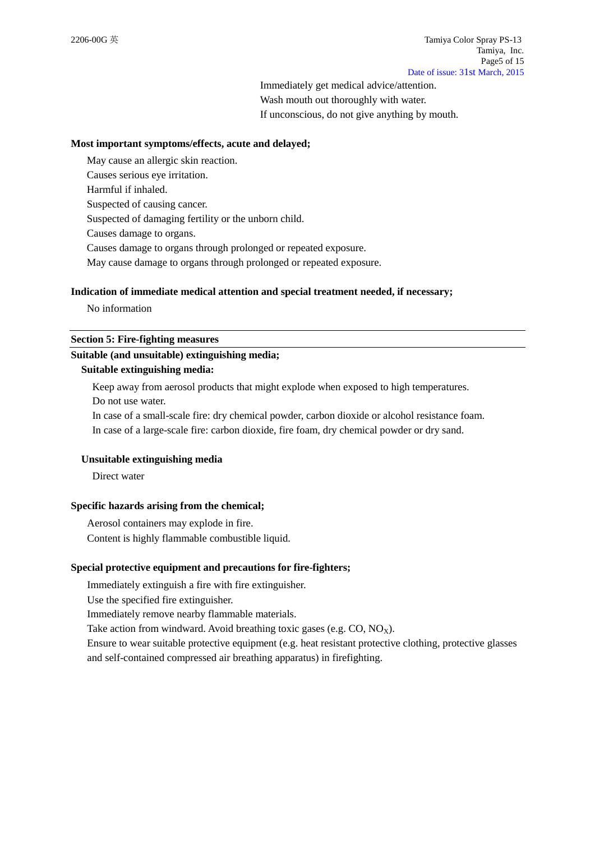Immediately get medical advice/attention. Wash mouth out thoroughly with water. If unconscious, do not give anything by mouth.

#### **Most important symptoms/effects, acute and delayed;**

May cause an allergic skin reaction. Causes serious eye irritation. Harmful if inhaled. Suspected of causing cancer. Suspected of damaging fertility or the unborn child. Causes damage to organs. Causes damage to organs through prolonged or repeated exposure. May cause damage to organs through prolonged or repeated exposure.

#### **Indication of immediate medical attention and special treatment needed, if necessary;**

No information

#### **Section 5: Fire-fighting measures**

## **Suitable (and unsuitable) extinguishing media;**

#### **Suitable extinguishing media:**

Keep away from aerosol products that might explode when exposed to high temperatures. Do not use water.

In case of a small-scale fire: dry chemical powder, carbon dioxide or alcohol resistance foam. In case of a large-scale fire: carbon dioxide, fire foam, dry chemical powder or dry sand.

## **Unsuitable extinguishing media**

Direct water

#### **Specific hazards arising from the chemical;**

Aerosol containers may explode in fire. Content is highly flammable combustible liquid.

#### **Special protective equipment and precautions for fire-fighters;**

Immediately extinguish a fire with fire extinguisher.

Use the specified fire extinguisher.

Immediately remove nearby flammable materials.

Take action from windward. Avoid breathing toxic gases (e.g.  $CO$ ,  $NO<sub>x</sub>$ ).

Ensure to wear suitable protective equipment (e.g. heat resistant protective clothing, protective glasses and self-contained compressed air breathing apparatus) in firefighting.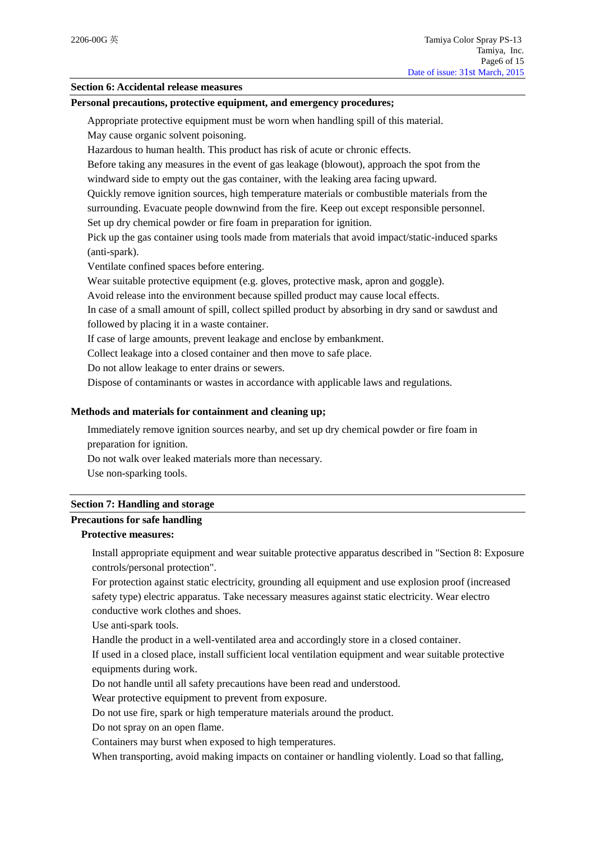#### **Section 6: Accidental release measures**

#### **Personal precautions, protective equipment, and emergency procedures;**

Appropriate protective equipment must be worn when handling spill of this material.

May cause organic solvent poisoning.

Hazardous to human health. This product has risk of acute or chronic effects.

Before taking any measures in the event of gas leakage (blowout), approach the spot from the windward side to empty out the gas container, with the leaking area facing upward.

Quickly remove ignition sources, high temperature materials or combustible materials from the surrounding. Evacuate people downwind from the fire. Keep out except responsible personnel.

Set up dry chemical powder or fire foam in preparation for ignition.

Pick up the gas container using tools made from materials that avoid impact/static-induced sparks (anti-spark).

Ventilate confined spaces before entering.

Wear suitable protective equipment (e.g. gloves, protective mask, apron and goggle).

Avoid release into the environment because spilled product may cause local effects.

In case of a small amount of spill, collect spilled product by absorbing in dry sand or sawdust and followed by placing it in a waste container.

If case of large amounts, prevent leakage and enclose by embankment.

Collect leakage into a closed container and then move to safe place.

Do not allow leakage to enter drains or sewers.

Dispose of contaminants or wastes in accordance with applicable laws and regulations.

#### **Methods and materials for containment and cleaning up;**

Immediately remove ignition sources nearby, and set up dry chemical powder or fire foam in preparation for ignition.

Do not walk over leaked materials more than necessary.

Use non-sparking tools.

#### **Section 7: Handling and storage**

## **Precautions for safe handling**

## **Protective measures:**

Install appropriate equipment and wear suitable protective apparatus described in "Section 8: Exposure controls/personal protection".

For protection against static electricity, grounding all equipment and use explosion proof (increased safety type) electric apparatus. Take necessary measures against static electricity. Wear electro conductive work clothes and shoes.

Use anti-spark tools.

Handle the product in a well-ventilated area and accordingly store in a closed container.

If used in a closed place, install sufficient local ventilation equipment and wear suitable protective equipments during work.

Do not handle until all safety precautions have been read and understood.

Wear protective equipment to prevent from exposure.

Do not use fire, spark or high temperature materials around the product.

Do not spray on an open flame.

Containers may burst when exposed to high temperatures.

When transporting, avoid making impacts on container or handling violently. Load so that falling,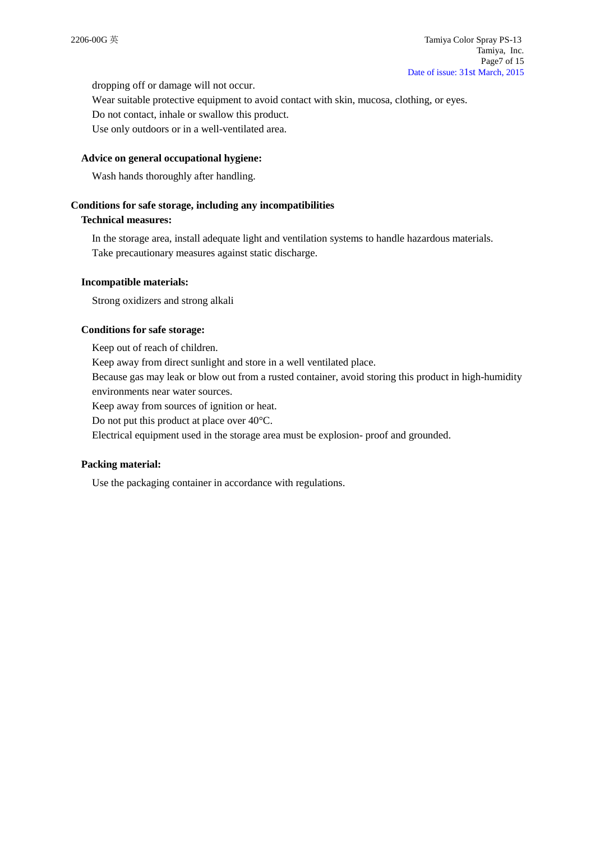dropping off or damage will not occur.

Wear suitable protective equipment to avoid contact with skin, mucosa, clothing, or eyes. Do not contact, inhale or swallow this product.

Use only outdoors or in a well-ventilated area.

#### **Advice on general occupational hygiene:**

Wash hands thoroughly after handling.

#### **Conditions for safe storage, including any incompatibilities**

#### **Technical measures:**

In the storage area, install adequate light and ventilation systems to handle hazardous materials. Take precautionary measures against static discharge.

#### **Incompatible materials:**

Strong oxidizers and strong alkali

## **Conditions for safe storage:**

Keep out of reach of children. Keep away from direct sunlight and store in a well ventilated place. Because gas may leak or blow out from a rusted container, avoid storing this product in high-humidity environments near water sources.

Keep away from sources of ignition or heat.

Do not put this product at place over 40°C.

Electrical equipment used in the storage area must be explosion- proof and grounded.

#### **Packing material:**

Use the packaging container in accordance with regulations.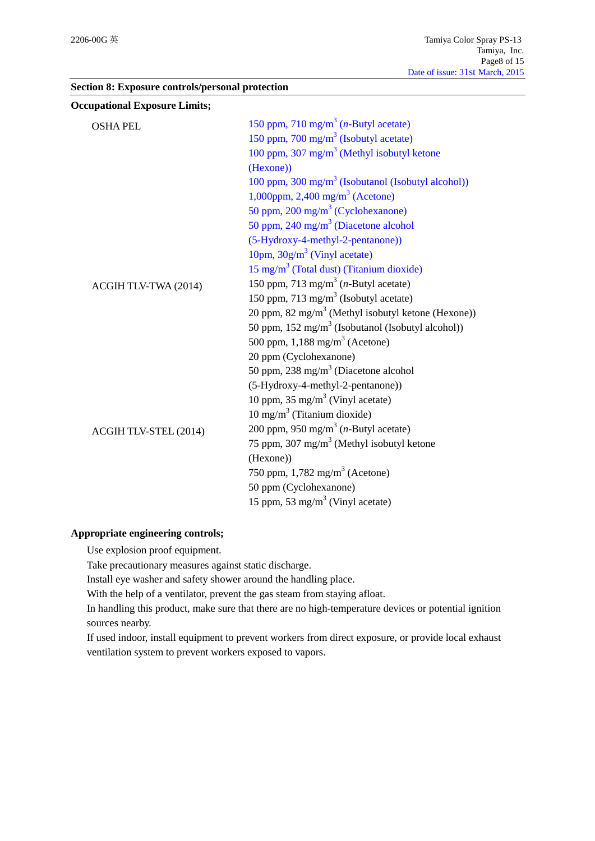|  |  | Section 8: Exposure controls/personal protection |  |
|--|--|--------------------------------------------------|--|
|--|--|--------------------------------------------------|--|

| <b>Occupational Exposure Limits;</b> |                                                                |
|--------------------------------------|----------------------------------------------------------------|
| <b>OSHA PEL</b>                      | 150 ppm, 710 mg/m <sup>3</sup> ( <i>n</i> -Butyl acetate)      |
|                                      | 150 ppm, 700 mg/m <sup>3</sup> (Isobutyl acetate)              |
|                                      | 100 ppm, $307 \text{ mg/m}^3$ (Methyl isobutyl ketone          |
|                                      | (Hexone))                                                      |
|                                      | 100 ppm, 300 mg/m <sup>3</sup> (Isobutanol (Isobutyl alcohol)) |
|                                      | 1,000ppm, 2,400 mg/m <sup>3</sup> (Acetone)                    |
|                                      | 50 ppm, $200 \text{ mg/m}^3$ (Cyclohexanone)                   |
|                                      | 50 ppm, $240 \text{ mg/m}^3$ (Diacetone alcohol                |
|                                      | (5-Hydroxy-4-methyl-2-pentanone))                              |
|                                      | 10pm, $30g/m3$ (Vinyl acetate)                                 |
|                                      | $15 \text{ mg/m}^3$ (Total dust) (Titanium dioxide)            |
| ACGIH TLV-TWA (2014)                 | 150 ppm, 713 mg/m <sup>3</sup> ( <i>n</i> -Butyl acetate)      |
|                                      | 150 ppm, 713 mg/m <sup>3</sup> (Isobutyl acetate)              |
|                                      | 20 ppm, 82 mg/m <sup>3</sup> (Methyl isobutyl ketone (Hexone)) |
|                                      | 50 ppm, $152 \text{ mg/m}^3$ (Isobutanol (Isobutyl alcohol))   |
|                                      | 500 ppm, $1,188$ mg/m <sup>3</sup> (Acetone)                   |
|                                      | 20 ppm (Cyclohexanone)                                         |
|                                      | 50 ppm, 238 mg/m <sup>3</sup> (Diacetone alcohol               |
|                                      | (5-Hydroxy-4-methyl-2-pentanone))                              |
|                                      | 10 ppm, $35 \text{ mg/m}^3$ (Vinyl acetate)                    |
|                                      | $10 \text{ mg/m}^3$ (Titanium dioxide)                         |
| ACGIH TLV-STEL (2014)                | 200 ppm, 950 mg/m <sup>3</sup> ( <i>n</i> -Butyl acetate)      |
|                                      | 75 ppm, 307 mg/m <sup>3</sup> (Methyl isobutyl ketone          |
|                                      | (Hexone))                                                      |
|                                      | 750 ppm, $1,782 \text{ mg/m}^3$ (Acetone)                      |
|                                      | 50 ppm (Cyclohexanone)                                         |
|                                      | 15 ppm, 53 mg/m <sup>3</sup> (Vinyl acetate)                   |

## **Appropriate engineering controls;**

Use explosion proof equipment.

Take precautionary measures against static discharge.

Install eye washer and safety shower around the handling place.

With the help of a ventilator, prevent the gas steam from staying afloat.

In handling this product, make sure that there are no high-temperature devices or potential ignition sources nearby.

If used indoor, install equipment to prevent workers from direct exposure, or provide local exhaust ventilation system to prevent workers exposed to vapors.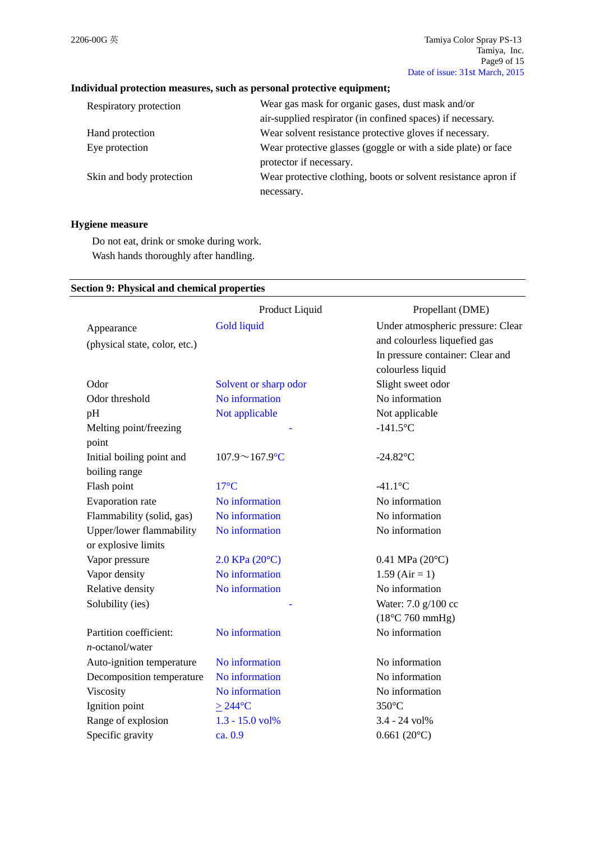## **Individual protection measures, such as personal protective equipment;**

| Respiratory protection   | Wear gas mask for organic gases, dust mask and/or              |
|--------------------------|----------------------------------------------------------------|
|                          | air-supplied respirator (in confined spaces) if necessary.     |
| Hand protection          | Wear solvent resistance protective gloves if necessary.        |
| Eye protection           | Wear protective glasses (goggle or with a side plate) or face  |
|                          | protector if necessary.                                        |
| Skin and body protection | Wear protective clothing, boots or solvent resistance apron if |
|                          | necessary.                                                     |

## **Hygiene measure**

Do not eat, drink or smoke during work. Wash hands thoroughly after handling.

#### **Section 9: Physical and chemical properties**

|                               | Product Liquid            | Propellant (DME)                  |
|-------------------------------|---------------------------|-----------------------------------|
| Appearance                    | <b>Gold liquid</b>        | Under atmospheric pressure: Clear |
| (physical state, color, etc.) |                           | and colourless liquefied gas      |
|                               |                           | In pressure container: Clear and  |
|                               |                           | colourless liquid                 |
| Odor                          | Solvent or sharp odor     | Slight sweet odor                 |
| Odor threshold                | No information            | No information                    |
| pH                            | Not applicable            | Not applicable                    |
| Melting point/freezing        |                           | $-141.5$ °C                       |
| point                         |                           |                                   |
| Initial boiling point and     | $107.9 \sim 167.9$ °C     | $-24.82$ °C                       |
| boiling range                 |                           |                                   |
| Flash point                   | $17^{\circ}$ C            | $-41.1$ °C                        |
| Evaporation rate              | No information            | No information                    |
| Flammability (solid, gas)     | No information            | No information                    |
| Upper/lower flammability      | No information            | No information                    |
| or explosive limits           |                           |                                   |
| Vapor pressure                | $2.0$ KPa $(20^{\circ}C)$ | $0.41$ MPa $(20^{\circ}C)$        |
| Vapor density                 | No information            | $1.59$ (Air = 1)                  |
| Relative density              | No information            | No information                    |
| Solubility (ies)              |                           | Water: 7.0 g/100 cc               |
|                               |                           | $(18^{\circ}C 760$ mmHg)          |
| Partition coefficient:        | No information            | No information                    |
| $n$ -octanol/water            |                           |                                   |
| Auto-ignition temperature     | No information            | No information                    |
| Decomposition temperature     | No information            | No information                    |
| Viscosity                     | No information            | No information                    |
| Ignition point                | $\geq$ 244°C              | $350^{\circ}$ C                   |
| Range of explosion            | 1.3 - 15.0 vol%           | 3.4 - 24 vol%                     |
| Specific gravity              | ca. 0.9                   | $0.661(20^{\circ}C)$              |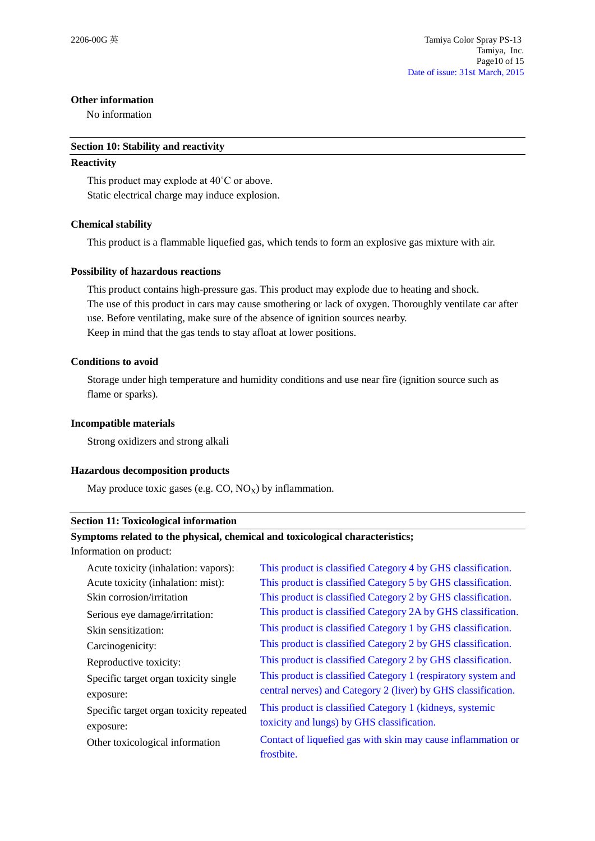#### **Other information**

No information

#### **Section 10: Stability and reactivity**

#### **Reactivity**

This product may explode at 40˚C or above. Static electrical charge may induce explosion.

## **Chemical stability**

This product is a flammable liquefied gas, which tends to form an explosive gas mixture with air.

#### **Possibility of hazardous reactions**

This product contains high-pressure gas. This product may explode due to heating and shock. The use of this product in cars may cause smothering or lack of oxygen. Thoroughly ventilate car after use. Before ventilating, make sure of the absence of ignition sources nearby. Keep in mind that the gas tends to stay afloat at lower positions.

#### **Conditions to avoid**

Storage under high temperature and humidity conditions and use near fire (ignition source such as flame or sparks).

#### **Incompatible materials**

Strong oxidizers and strong alkali

#### **Hazardous decomposition products**

May produce toxic gases (e.g.  $CO$ ,  $NO_X$ ) by inflammation.

#### **Section 11: Toxicological information**

#### **Symptoms related to the physical, chemical and toxicological characteristics;**

Information on product:

| Acute toxicity (inhalation: vapors):    | This product is classified Category 4 by GHS classification.  |
|-----------------------------------------|---------------------------------------------------------------|
| Acute toxicity (inhalation: mist):      | This product is classified Category 5 by GHS classification.  |
| Skin corrosion/irritation               | This product is classified Category 2 by GHS classification.  |
| Serious eye damage/irritation:          | This product is classified Category 2A by GHS classification. |
| Skin sensitization:                     | This product is classified Category 1 by GHS classification.  |
| Carcinogenicity:                        | This product is classified Category 2 by GHS classification.  |
| Reproductive toxicity:                  | This product is classified Category 2 by GHS classification.  |
| Specific target organ toxicity single   | This product is classified Category 1 (respiratory system and |
| exposure:                               | central nerves) and Category 2 (liver) by GHS classification. |
| Specific target organ toxicity repeated | This product is classified Category 1 (kidneys, systemic      |
| exposure:                               | toxicity and lungs) by GHS classification.                    |
| Other toxicological information         | Contact of liquefied gas with skin may cause inflammation or  |
|                                         | frostbite.                                                    |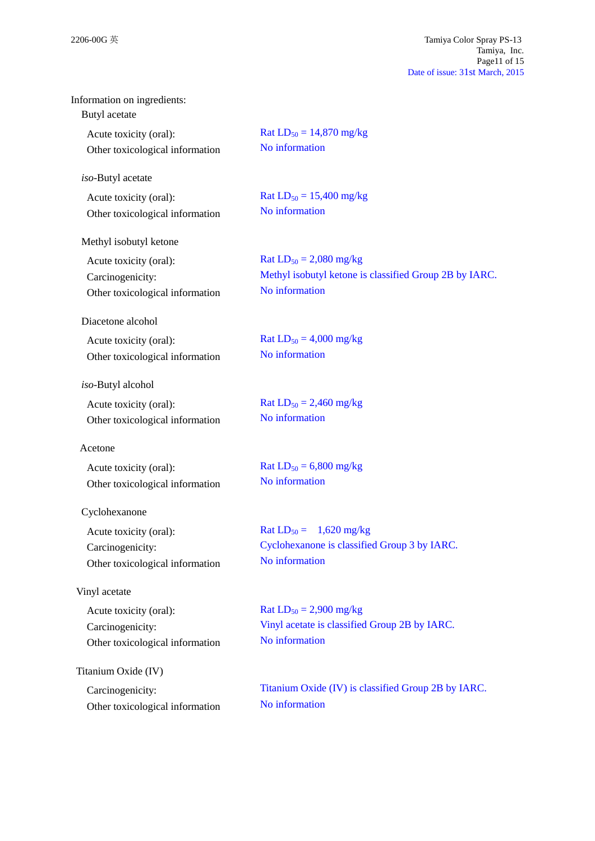| Information on ingredients:<br>Butyl acetate |                                                        |
|----------------------------------------------|--------------------------------------------------------|
| Acute toxicity (oral):                       | Rat $LD_{50} = 14,870$ mg/kg                           |
| Other toxicological information              | No information                                         |
| iso-Butyl acetate                            |                                                        |
| Acute toxicity (oral):                       | Rat $LD_{50} = 15,400$ mg/kg                           |
| Other toxicological information              | No information                                         |
| Methyl isobutyl ketone                       |                                                        |
| Acute toxicity (oral):                       | Rat $LD_{50} = 2,080$ mg/kg                            |
| Carcinogenicity:                             | Methyl isobutyl ketone is classified Group 2B by IARC. |
| Other toxicological information              | No information                                         |
| Diacetone alcohol                            |                                                        |
| Acute toxicity (oral):                       | Rat $LD_{50} = 4,000$ mg/kg                            |
| Other toxicological information              | No information                                         |
| iso-Butyl alcohol                            |                                                        |
| Acute toxicity (oral):                       | Rat $LD_{50} = 2,460$ mg/kg                            |
| Other toxicological information              | No information                                         |
| Acetone                                      |                                                        |
| Acute toxicity (oral):                       | Rat $LD_{50} = 6,800$ mg/kg                            |
| Other toxicological information              | No information                                         |
| Cyclohexanone                                |                                                        |
| Acute toxicity (oral):                       | Rat $LD_{50} = 1,620$ mg/kg                            |
| Carcinogenicity:                             | Cyclohexanone is classified Group 3 by IARC.           |
| Other toxicological information              | No information                                         |
| Vinyl acetate                                |                                                        |
| Acute toxicity (oral):                       | Rat $LD_{50} = 2,900$ mg/kg                            |
| Carcinogenicity:                             | Vinyl acetate is classified Group 2B by IARC.          |
| Other toxicological information              | No information                                         |
| Titanium Oxide (IV)                          |                                                        |
| Carcinogenicity:                             | Titanium Oxide (IV) is classified Group 2B by IARC.    |
| Other toxicological information              | No information                                         |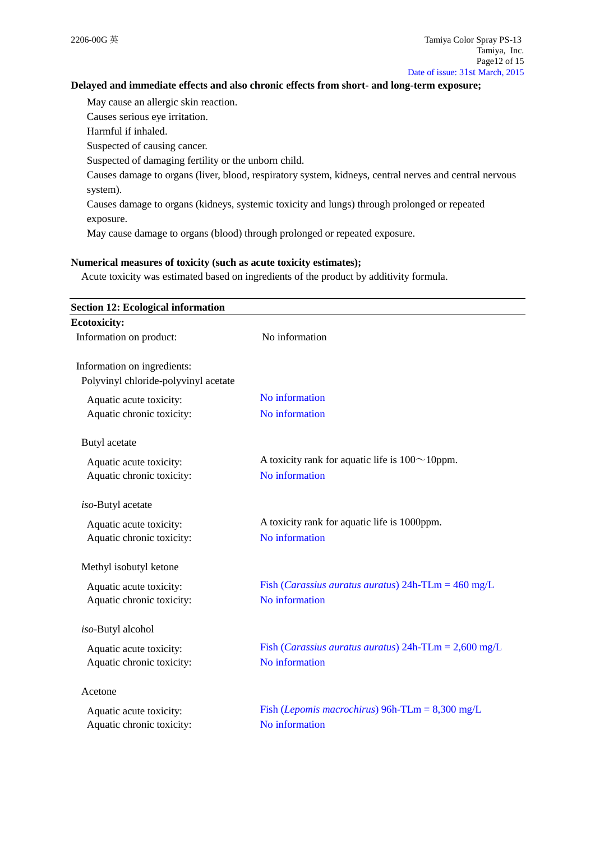### **Delayed and immediate effects and also chronic effects from short- and long-term exposure;**

May cause an allergic skin reaction.

Causes serious eye irritation.

Harmful if inhaled.

Suspected of causing cancer.

Suspected of damaging fertility or the unborn child.

Causes damage to organs (liver, blood, respiratory system, kidneys, central nerves and central nervous system).

Causes damage to organs (kidneys, systemic toxicity and lungs) through prolonged or repeated exposure.

May cause damage to organs (blood) through prolonged or repeated exposure.

## **Numerical measures of toxicity (such as acute toxicity estimates);**

Acute toxicity was estimated based on ingredients of the product by additivity formula.

| <b>Section 12: Ecological information</b> |                                                                     |
|-------------------------------------------|---------------------------------------------------------------------|
| <b>Ecotoxicity:</b>                       |                                                                     |
| Information on product:                   | No information                                                      |
| Information on ingredients:               |                                                                     |
| Polyvinyl chloride-polyvinyl acetate      |                                                                     |
| Aquatic acute toxicity:                   | No information                                                      |
| Aquatic chronic toxicity:                 | No information                                                      |
| Butyl acetate                             |                                                                     |
| Aquatic acute toxicity:                   | A toxicity rank for aquatic life is $100 \sim 10$ ppm.              |
| Aquatic chronic toxicity:                 | No information                                                      |
| iso-Butyl acetate                         |                                                                     |
| Aquatic acute toxicity:                   | A toxicity rank for aquatic life is 1000ppm.                        |
| Aquatic chronic toxicity:                 | No information                                                      |
| Methyl isobutyl ketone                    |                                                                     |
| Aquatic acute toxicity:                   | Fish ( <i>Carassius auratus auratus</i> ) $24h$ -TLm = $460$ mg/L   |
| Aquatic chronic toxicity:                 | No information                                                      |
| iso-Butyl alcohol                         |                                                                     |
| Aquatic acute toxicity:                   | Fish ( <i>Carassius auratus auratus</i> ) $24h$ -TLm = $2,600$ mg/L |
| Aquatic chronic toxicity:                 | No information                                                      |
| Acetone                                   |                                                                     |
| Aquatic acute toxicity:                   | Fish ( <i>Lepomis macrochirus</i> ) 96h-TLm = $8,300$ mg/L          |
| Aquatic chronic toxicity:                 | No information                                                      |
|                                           |                                                                     |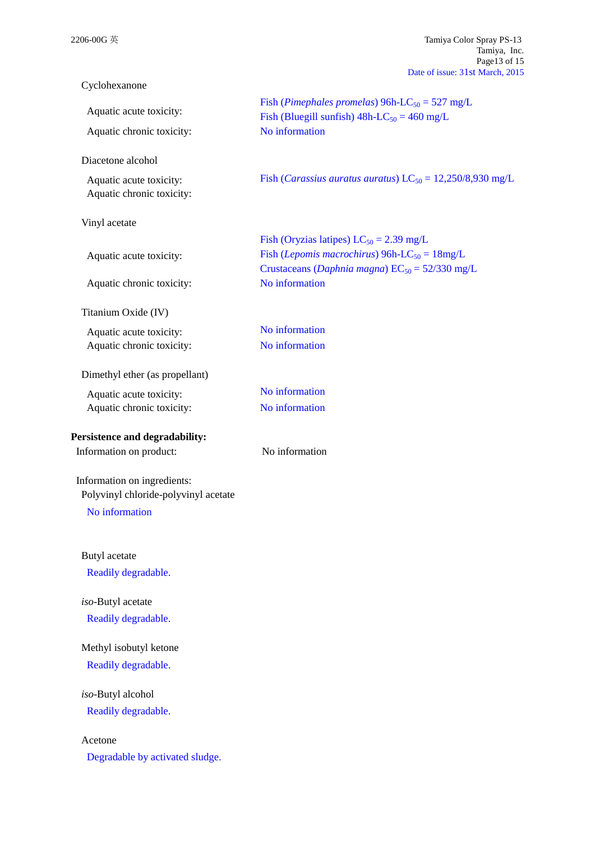|                                                                     | rage is of 15<br>Date of issue: 31st March, 2015                             |
|---------------------------------------------------------------------|------------------------------------------------------------------------------|
| Cyclohexanone                                                       |                                                                              |
| Aquatic acute toxicity:                                             | Fish ( <i>Pimephales promelas</i> ) 96h-LC <sub>50</sub> = 527 mg/L          |
| Aquatic chronic toxicity:                                           | Fish (Bluegill sunfish) $48h$ -LC <sub>50</sub> = 460 mg/L<br>No information |
| Diacetone alcohol                                                   |                                                                              |
| Aquatic acute toxicity:<br>Aquatic chronic toxicity:                | Fish ( <i>Carassius auratus auratus</i> ) $LC_{50} = 12,250/8,930$ mg/L      |
| Vinyl acetate                                                       |                                                                              |
|                                                                     | Fish (Oryzias latipes) $LC_{50} = 2.39$ mg/L                                 |
| Aquatic acute toxicity:                                             | Fish ( <i>Lepomis macrochirus</i> ) 96h-LC <sub>50</sub> = $18mg/L$          |
| Aquatic chronic toxicity:                                           | Crustaceans (Daphnia magna) $EC_{50} = 52/330$ mg/L<br>No information        |
| Titanium Oxide (IV)                                                 |                                                                              |
| Aquatic acute toxicity:                                             | No information                                                               |
| Aquatic chronic toxicity:                                           | No information                                                               |
| Dimethyl ether (as propellant)                                      |                                                                              |
| Aquatic acute toxicity:                                             | No information                                                               |
| Aquatic chronic toxicity:                                           | No information                                                               |
| Persistence and degradability:                                      |                                                                              |
| Information on product:                                             | No information                                                               |
| Information on ingredients:<br>Polyvinyl chloride-polyvinyl acetate |                                                                              |
| No information                                                      |                                                                              |
| Butyl acetate                                                       |                                                                              |
| Readily degradable.                                                 |                                                                              |
| iso-Butyl acetate                                                   |                                                                              |
| Readily degradable.                                                 |                                                                              |
| Methyl isobutyl ketone                                              |                                                                              |
| Readily degradable.                                                 |                                                                              |
| iso-Butyl alcohol                                                   |                                                                              |
| Readily degradable.                                                 |                                                                              |
| Acetone                                                             |                                                                              |
| Degradable by activated sludge.                                     |                                                                              |

2206-00G 英 Tamiya Color Spray PS-13 Tamiya, Inc. Page13 of 15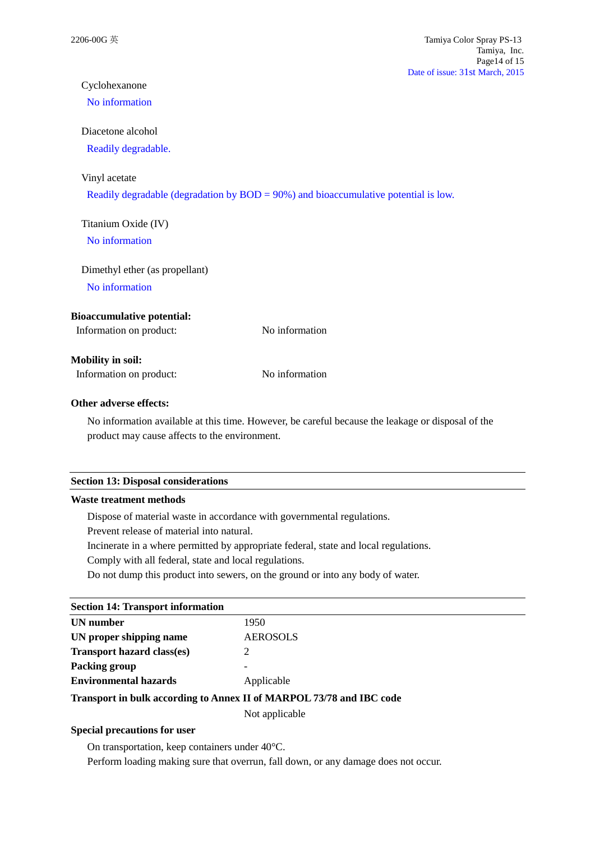# Cyclohexanone

# No information

## Diacetone alcohol

Readily degradable.

#### Vinyl acetate

Readily degradable (degradation by BOD = 90%) and bioaccumulative potential is low.

# Titanium Oxide (IV)

No information

## Dimethyl ether (as propellant)

No information

## **Bioaccumulative potential:**

| Information on product: |  | No information |
|-------------------------|--|----------------|
|                         |  |                |

## **Mobility in soil:**

Information on product: No information

## **Other adverse effects:**

No information available at this time. However, be careful because the leakage or disposal of the product may cause affects to the environment.

#### **Section 13: Disposal considerations**

## **Waste treatment methods**

Dispose of material waste in accordance with governmental regulations.

Prevent release of material into natural.

Incinerate in a where permitted by appropriate federal, state and local regulations.

Comply with all federal, state and local regulations.

Do not dump this product into sewers, on the ground or into any body of water.

## **Section 14: Transport information**

| UN number                                                            | 1950            |  |
|----------------------------------------------------------------------|-----------------|--|
| UN proper shipping name                                              | <b>AEROSOLS</b> |  |
| <b>Transport hazard class(es)</b>                                    |                 |  |
| Packing group                                                        |                 |  |
| <b>Environmental hazards</b>                                         | Applicable      |  |
| Transport in bulk according to Annex II of MARPOL 73/78 and IBC code |                 |  |

Not applicable

#### **Special precautions for user**

On transportation, keep containers under 40°C.

Perform loading making sure that overrun, fall down, or any damage does not occur.